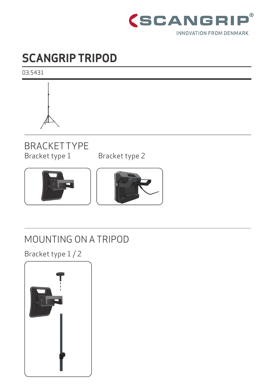

## **SCANGRIP TRIPOD**

03.5431



# BRACKET TYPE<br>Bracket type 1

Bracket type 2





### MOUNTING ON A TRIPOD

Bracket type 1 / 2